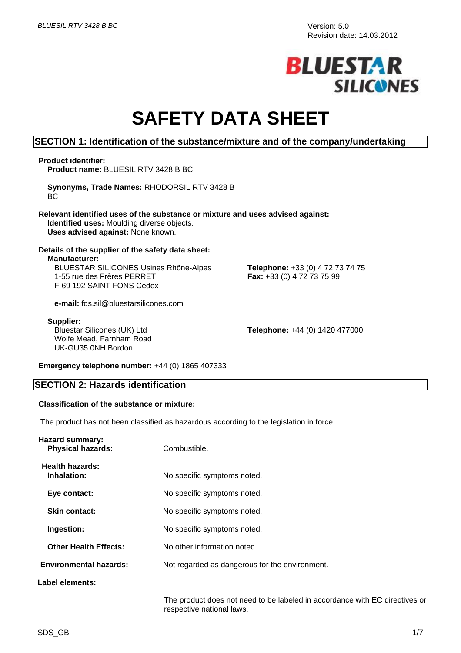# **BLUESTAR SILICONES**

# **SAFETY DATA SHEET**

### **SECTION 1: Identification of the substance/mixture and of the company/undertaking**

#### **Product identifier:**

**Product name:** BLUESIL RTV 3428 B BC

**Synonyms, Trade Names:** RHODORSIL RTV 3428 B **BC** 

**Relevant identified uses of the substance or mixture and uses advised against: Identified uses:** Moulding diverse objects. **Uses advised against:** None known.

**Details of the supplier of the safety data sheet: Manufacturer:** BLUESTAR SILICONES Usines Rhône-Alpes

1-55 rue des Frères PERRET F-69 192 SAINT FONS Cedex

**e-mail:** fds.sil@bluestarsilicones.com

#### **Supplier:**

Bluestar Silicones (UK) Ltd Wolfe Mead, Farnham Road UK-GU35 0NH Bordon

**Telephone:** +44 (0) 1420 477000

**Telephone:** +33 (0) 4 72 73 74 75

**Fax:** +33 (0) 4 72 73 75 99

**Emergency telephone number:** +44 (0) 1865 407333

#### **SECTION 2: Hazards identification**

### **Classification of the substance or mixture:**

The product has not been classified as hazardous according to the legislation in force.

| <b>Hazard summary:</b><br><b>Physical hazards:</b> | Combustible.                                   |
|----------------------------------------------------|------------------------------------------------|
| Health hazards:<br>Inhalation:                     | No specific symptoms noted.                    |
| Eye contact:                                       | No specific symptoms noted.                    |
| <b>Skin contact:</b>                               | No specific symptoms noted.                    |
| Ingestion:                                         | No specific symptoms noted.                    |
| <b>Other Health Effects:</b>                       | No other information noted.                    |
| <b>Environmental hazards:</b>                      | Not regarded as dangerous for the environment. |
| Label elements:                                    |                                                |
|                                                    |                                                |

The product does not need to be labeled in accordance with EC directives or respective national laws.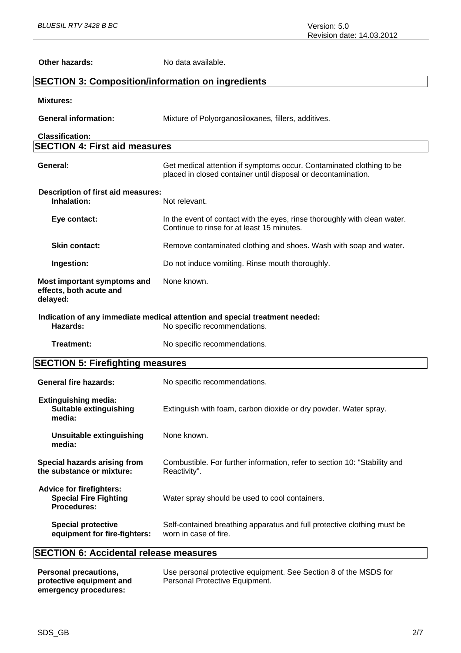| <b>Other hazards:</b>                                                                 | No data available.                                                                                                                    |
|---------------------------------------------------------------------------------------|---------------------------------------------------------------------------------------------------------------------------------------|
| <b>SECTION 3: Composition/information on ingredients</b>                              |                                                                                                                                       |
| <b>Mixtures:</b>                                                                      |                                                                                                                                       |
| <b>General information:</b>                                                           | Mixture of Polyorganosiloxanes, fillers, additives.                                                                                   |
| <b>Classification:</b>                                                                |                                                                                                                                       |
| <b>SECTION 4: First aid measures</b>                                                  |                                                                                                                                       |
| General:                                                                              | Get medical attention if symptoms occur. Contaminated clothing to be<br>placed in closed container until disposal or decontamination. |
| Description of first aid measures:<br>Inhalation:                                     | Not relevant.                                                                                                                         |
| Eye contact:                                                                          | In the event of contact with the eyes, rinse thoroughly with clean water.<br>Continue to rinse for at least 15 minutes.               |
| <b>Skin contact:</b>                                                                  | Remove contaminated clothing and shoes. Wash with soap and water.                                                                     |
| Ingestion:                                                                            | Do not induce vomiting. Rinse mouth thoroughly.                                                                                       |
| Most important symptoms and<br>effects, both acute and<br>delayed:                    | None known.                                                                                                                           |
| Hazards:                                                                              | Indication of any immediate medical attention and special treatment needed:<br>No specific recommendations.                           |
| <b>Treatment:</b>                                                                     | No specific recommendations.                                                                                                          |
| <b>SECTION 5: Firefighting measures</b>                                               |                                                                                                                                       |
| <b>General fire hazards:</b>                                                          | No specific recommendations.                                                                                                          |
| <b>Extinguishing media:</b><br><b>Suitable extinguishing</b><br>media:                | Extinguish with foam, carbon dioxide or dry powder. Water spray.                                                                      |
| <b>Unsuitable extinguishing</b><br>media:                                             | None known.                                                                                                                           |
| Special hazards arising from<br>the substance or mixture:                             | Combustible. For further information, refer to section 10: "Stability and<br>Reactivity".                                             |
| <b>Advice for firefighters:</b><br><b>Special Fire Fighting</b><br><b>Procedures:</b> | Water spray should be used to cool containers.                                                                                        |
| <b>Special protective</b><br>equipment for fire-fighters:                             | Self-contained breathing apparatus and full protective clothing must be<br>worn in case of fire.                                      |
| <b>SECTION 6: Accidental release measures</b>                                         |                                                                                                                                       |

| Personal precautions,    | Use personal protective equipment. See Section 8 of the MSDS for |
|--------------------------|------------------------------------------------------------------|
| protective equipment and | Personal Protective Equipment.                                   |
| emergency procedures:    |                                                                  |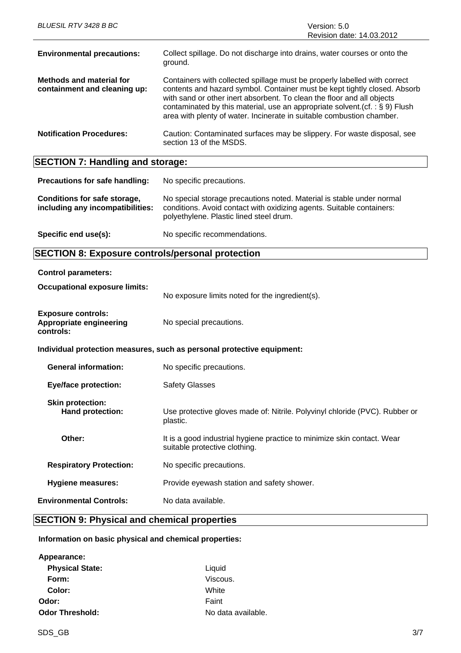| BLUESIL RTV 3428 B BC                                           | Version: 5.0<br>Revision date: 14.03.2012                                                                                                                                                                                                                                                                                                                                                    |
|-----------------------------------------------------------------|----------------------------------------------------------------------------------------------------------------------------------------------------------------------------------------------------------------------------------------------------------------------------------------------------------------------------------------------------------------------------------------------|
| <b>Environmental precautions:</b>                               | Collect spillage. Do not discharge into drains, water courses or onto the<br>ground.                                                                                                                                                                                                                                                                                                         |
| <b>Methods and material for</b><br>containment and cleaning up: | Containers with collected spillage must be properly labelled with correct<br>contents and hazard symbol. Container must be kept tightly closed. Absorb<br>with sand or other inert absorbent. To clean the floor and all objects<br>contaminated by this material, use an appropriate solvent. (cf. : $\S$ 9) Flush<br>area with plenty of water. Incinerate in suitable combustion chamber. |
| <b>Notification Procedures:</b>                                 | Caution: Contaminated surfaces may be slippery. For waste disposal, see<br>section 13 of the MSDS.                                                                                                                                                                                                                                                                                           |

# **SECTION 7: Handling and storage:**

| Precautions for safe handling:                                   | No specific precautions.                                                                                                                                                                  |
|------------------------------------------------------------------|-------------------------------------------------------------------------------------------------------------------------------------------------------------------------------------------|
| Conditions for safe storage,<br>including any incompatibilities: | No special storage precautions noted. Material is stable under normal<br>conditions. Avoid contact with oxidizing agents. Suitable containers:<br>polyethylene. Plastic lined steel drum. |
| Specific end use(s):                                             | No specific recommendations.                                                                                                                                                              |

# **SECTION 8: Exposure controls/personal protection**

**Control parameters:**

| <b>Occupational exposure limits:</b>                                     | No exposure limits noted for the ingredient(s).                                                          |
|--------------------------------------------------------------------------|----------------------------------------------------------------------------------------------------------|
| <b>Exposure controls:</b><br><b>Appropriate engineering</b><br>controls: | No special precautions.                                                                                  |
|                                                                          | Individual protection measures, such as personal protective equipment:                                   |
| <b>General information:</b>                                              | No specific precautions.                                                                                 |
| <b>Eye/face protection:</b>                                              | <b>Safety Glasses</b>                                                                                    |
| <b>Skin protection:</b><br>Hand protection:                              | Use protective gloves made of: Nitrile. Polyvinyl chloride (PVC). Rubber or<br>plastic.                  |
| Other:                                                                   | It is a good industrial hygiene practice to minimize skin contact. Wear<br>suitable protective clothing. |
| <b>Respiratory Protection:</b>                                           | No specific precautions.                                                                                 |
| <b>Hygiene measures:</b>                                                 | Provide eyewash station and safety shower.                                                               |
| <b>Environmental Controls:</b>                                           | No data available.                                                                                       |

# **SECTION 9: Physical and chemical properties**

# **Information on basic physical and chemical properties:**

| Appearance:            |                    |
|------------------------|--------------------|
| <b>Physical State:</b> | Liquid             |
| Form:                  | Viscous.           |
| Color:                 | White              |
| Odor:                  | Faint              |
| <b>Odor Threshold:</b> | No data available. |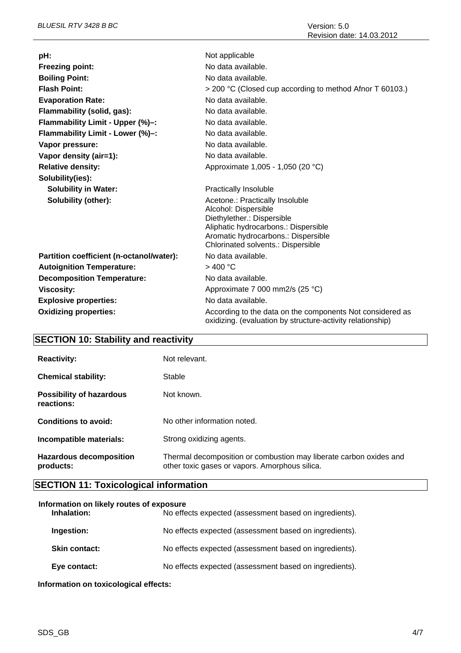| pH:                                      | Not applicable                                                                                                                                                                                             |
|------------------------------------------|------------------------------------------------------------------------------------------------------------------------------------------------------------------------------------------------------------|
| <b>Freezing point:</b>                   | No data available.                                                                                                                                                                                         |
| <b>Boiling Point:</b>                    | No data available.                                                                                                                                                                                         |
| <b>Flash Point:</b>                      | > 200 °C (Closed cup according to method Afnor T 60103.)                                                                                                                                                   |
| <b>Evaporation Rate:</b>                 | No data available.                                                                                                                                                                                         |
| Flammability (solid, gas):               | No data available.                                                                                                                                                                                         |
| Flammability Limit - Upper (%)-:         | No data available.                                                                                                                                                                                         |
| Flammability Limit - Lower (%)-:         | No data available.                                                                                                                                                                                         |
| Vapor pressure:                          | No data available.                                                                                                                                                                                         |
| Vapor density (air=1):                   | No data available.                                                                                                                                                                                         |
| <b>Relative density:</b>                 | Approximate 1,005 - 1,050 (20 °C)                                                                                                                                                                          |
| Solubility(ies):                         |                                                                                                                                                                                                            |
| <b>Solubility in Water:</b>              | <b>Practically Insoluble</b>                                                                                                                                                                               |
| Solubility (other):                      | Acetone.: Practically Insoluble<br>Alcohol: Dispersible<br>Diethylether.: Dispersible<br>Aliphatic hydrocarbons.: Dispersible<br>Aromatic hydrocarbons.: Dispersible<br>Chlorinated solvents.: Dispersible |
| Partition coefficient (n-octanol/water): | No data available.                                                                                                                                                                                         |
| <b>Autoignition Temperature:</b>         | $>$ 400 °C                                                                                                                                                                                                 |
| <b>Decomposition Temperature:</b>        | No data available.                                                                                                                                                                                         |
| <b>Viscosity:</b>                        | Approximate 7 000 mm2/s (25 °C)                                                                                                                                                                            |
| <b>Explosive properties:</b>             | No data available.                                                                                                                                                                                         |
| <b>Oxidizing properties:</b>             | According to the data on the components Not considered as<br>oxidizing. (evaluation by structure-activity relationship)                                                                                    |

# **SECTION 10: Stability and reactivity**

| <b>Reactivity:</b>                            | Not relevant.                                                                                                        |
|-----------------------------------------------|----------------------------------------------------------------------------------------------------------------------|
| <b>Chemical stability:</b>                    | Stable                                                                                                               |
| <b>Possibility of hazardous</b><br>reactions: | Not known.                                                                                                           |
| Conditions to avoid:                          | No other information noted.                                                                                          |
| Incompatible materials:                       | Strong oxidizing agents.                                                                                             |
| <b>Hazardous decomposition</b><br>products:   | Thermal decomposition or combustion may liberate carbon oxides and<br>other toxic gases or vapors. Amorphous silica. |

# **SECTION 11: Toxicological information**

# **Information on likely routes of exposure**

| Inhalation:          | No effects expected (assessment based on ingredients). |
|----------------------|--------------------------------------------------------|
| Ingestion:           | No effects expected (assessment based on ingredients). |
| <b>Skin contact:</b> | No effects expected (assessment based on ingredients). |
| Eye contact:         | No effects expected (assessment based on ingredients). |

**Information on toxicological effects:**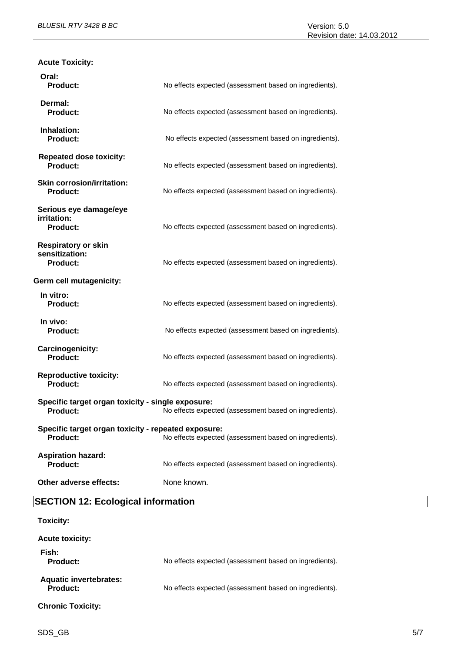| <b>Acute Toxicity:</b>                                                 |                                                        |
|------------------------------------------------------------------------|--------------------------------------------------------|
| Oral:<br><b>Product:</b>                                               | No effects expected (assessment based on ingredients). |
| Dermal:<br><b>Product:</b>                                             | No effects expected (assessment based on ingredients). |
| Inhalation:<br><b>Product:</b>                                         | No effects expected (assessment based on ingredients). |
| <b>Repeated dose toxicity:</b><br><b>Product:</b>                      | No effects expected (assessment based on ingredients). |
| <b>Skin corrosion/irritation:</b><br><b>Product:</b>                   | No effects expected (assessment based on ingredients). |
| Serious eye damage/eye<br>irritation:<br><b>Product:</b>               | No effects expected (assessment based on ingredients). |
| <b>Respiratory or skin</b><br>sensitization:<br><b>Product:</b>        | No effects expected (assessment based on ingredients). |
| Germ cell mutagenicity:                                                |                                                        |
| In vitro:<br><b>Product:</b>                                           | No effects expected (assessment based on ingredients). |
| In vivo:<br><b>Product:</b>                                            | No effects expected (assessment based on ingredients). |
| Carcinogenicity:<br><b>Product:</b>                                    | No effects expected (assessment based on ingredients). |
| <b>Reproductive toxicity:</b><br><b>Product:</b>                       | No effects expected (assessment based on ingredients). |
| Specific target organ toxicity - single exposure:<br><b>Product:</b>   | No effects expected (assessment based on ingredients). |
| Specific target organ toxicity - repeated exposure:<br><b>Product:</b> | No effects expected (assessment based on ingredients). |
| <b>Aspiration hazard:</b><br><b>Product:</b>                           | No effects expected (assessment based on ingredients). |
| Other adverse effects:                                                 | None known.                                            |

**SECTION 12: Ecological information**

| <b>Toxicity:</b>                                 |                                                        |
|--------------------------------------------------|--------------------------------------------------------|
| <b>Acute toxicity:</b>                           |                                                        |
| Fish:<br><b>Product:</b>                         | No effects expected (assessment based on ingredients). |
| <b>Aquatic invertebrates:</b><br><b>Product:</b> | No effects expected (assessment based on ingredients). |
| <b>Chronic Toxicity:</b>                         |                                                        |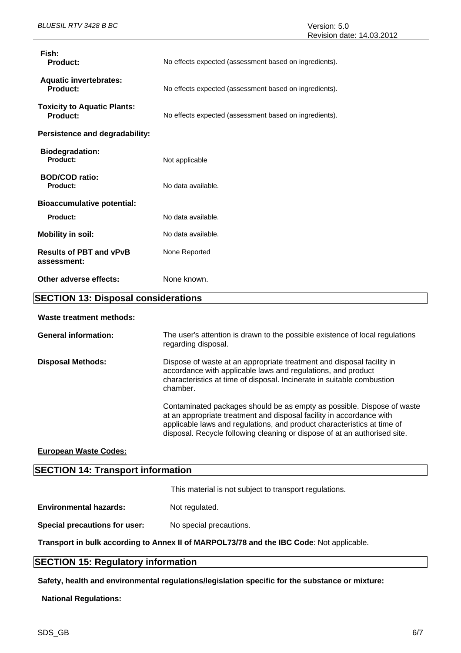| Fish:<br><b>Product:</b>                              | No effects expected (assessment based on ingredients).                                                                                                                                                                      |  |  |
|-------------------------------------------------------|-----------------------------------------------------------------------------------------------------------------------------------------------------------------------------------------------------------------------------|--|--|
| <b>Aquatic invertebrates:</b><br><b>Product:</b>      | No effects expected (assessment based on ingredients).                                                                                                                                                                      |  |  |
| <b>Toxicity to Aquatic Plants:</b><br><b>Product:</b> | No effects expected (assessment based on ingredients).                                                                                                                                                                      |  |  |
| Persistence and degradability:                        |                                                                                                                                                                                                                             |  |  |
| <b>Biodegradation:</b><br>Product:                    | Not applicable                                                                                                                                                                                                              |  |  |
| <b>BOD/COD ratio:</b><br>Product:                     | No data available.                                                                                                                                                                                                          |  |  |
| <b>Bioaccumulative potential:</b>                     |                                                                                                                                                                                                                             |  |  |
| Product:                                              | No data available.                                                                                                                                                                                                          |  |  |
| <b>Mobility in soil:</b>                              | No data available.                                                                                                                                                                                                          |  |  |
| <b>Results of PBT and vPvB</b><br>assessment:         | None Reported                                                                                                                                                                                                               |  |  |
| Other adverse effects:                                | None known.                                                                                                                                                                                                                 |  |  |
| <b>SECTION 13: Disposal considerations</b>            |                                                                                                                                                                                                                             |  |  |
| <b>Waste treatment methods:</b>                       |                                                                                                                                                                                                                             |  |  |
| <b>General information:</b>                           | The user's attention is drawn to the possible existence of local regulations<br>regarding disposal.                                                                                                                         |  |  |
| <b>Disposal Methods:</b>                              | Dispose of waste at an appropriate treatment and disposal facility in<br>accordance with applicable laws and regulations, and product<br>characteristics at time of disposal. Incinerate in suitable combustion<br>chamber. |  |  |

Contaminated packages should be as empty as possible. Dispose of waste at an appropriate treatment and disposal facility in accordance with applicable laws and regulations, and product characteristics at time of disposal. Recycle following cleaning or dispose of at an authorised site.

### **European Waste Codes:**

## **SECTION 14: Transport information**

This material is not subject to transport regulations.

**Environmental hazards:** Not regulated.

**Special precautions for user:** No special precautions.

**Transport in bulk according to Annex II of MARPOL73/78 and the IBC Code**: Not applicable.

## **SECTION 15: Regulatory information**

**Safety, health and environmental regulations/legislation specific for the substance or mixture:**

**National Regulations:**